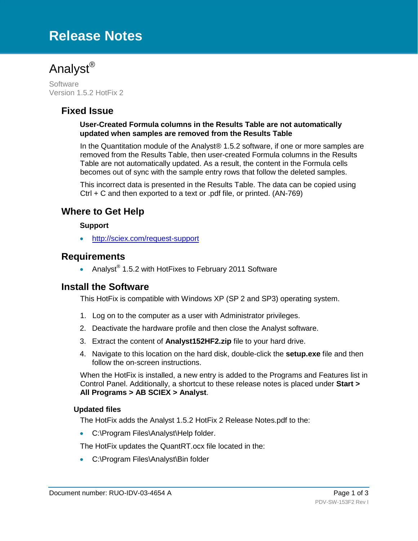# **Release Notes**



**Software** Version 1.5.2 HotFix 2

## **Fixed Issue**

#### **User-Created Formula columns in the Results Table are not automatically updated when samples are removed from the Results Table**

In the Quantitation module of the Analyst® 1.5.2 software, if one or more samples are removed from the Results Table, then user-created Formula columns in the Results Table are not automatically updated. As a result, the content in the Formula cells becomes out of sync with the sample entry rows that follow the deleted samples.

This incorrect data is presented in the Results Table. The data can be copied using Ctrl + C and then exported to a text or .pdf file, or printed. (AN-769)

## **Where to Get Help**

#### **Support**

• <http://sciex.com/request-support>

### **Requirements**

• Analyst® 1.5.2 with HotFixes to February 2011 Software

## **Install the Software**

This HotFix is compatible with Windows XP (SP 2 and SP3) operating system.

- 1. Log on to the computer as a user with Administrator privileges.
- 2. Deactivate the hardware profile and then close the Analyst software.
- 3. Extract the content of **Analyst152HF2.zip** file to your hard drive.
- 4. Navigate to this location on the hard disk, double-click the **setup.exe** file and then follow the on-screen instructions.

When the HotFix is installed, a new entry is added to the Programs and Features list in Control Panel. Additionally, a shortcut to these release notes is placed under **Start > All Programs > AB SCIEX > Analyst**.

#### **Updated files**

The HotFix adds the Analyst 1.5.2 HotFix 2 Release Notes.pdf to the:

• C:\Program Files\Analyst\Help folder.

The HotFix updates the QuantRT.ocx file located in the:

• C:\Program Files\Analyst\Bin folder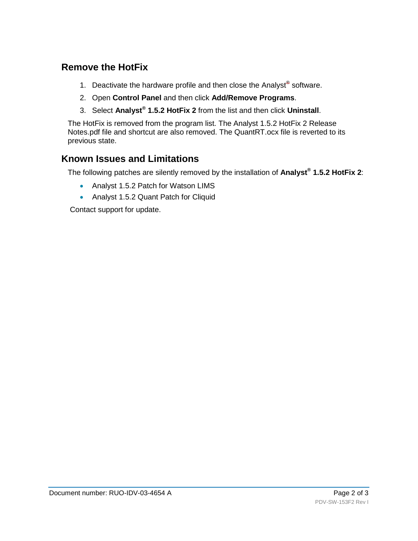## **Remove the HotFix**

- 1. Deactivate the hardware profile and then close the Analyst<sup>®</sup> software.
- 2. Open **Control Panel** and then click **Add/Remove Programs**.
- 3. Select **Analyst® 1.5.2 HotFix 2** from the list and then click **Uninstall**.

The HotFix is removed from the program list. The Analyst 1.5.2 HotFix 2 Release Notes.pdf file and shortcut are also removed. The QuantRT.ocx file is reverted to its previous state.

## **Known Issues and Limitations**

The following patches are silently removed by the installation of **Analyst® 1.5.2 HotFix 2**:

- Analyst 1.5.2 Patch for Watson LIMS
- Analyst 1.5.2 Quant Patch for Cliquid

Contact support for update.